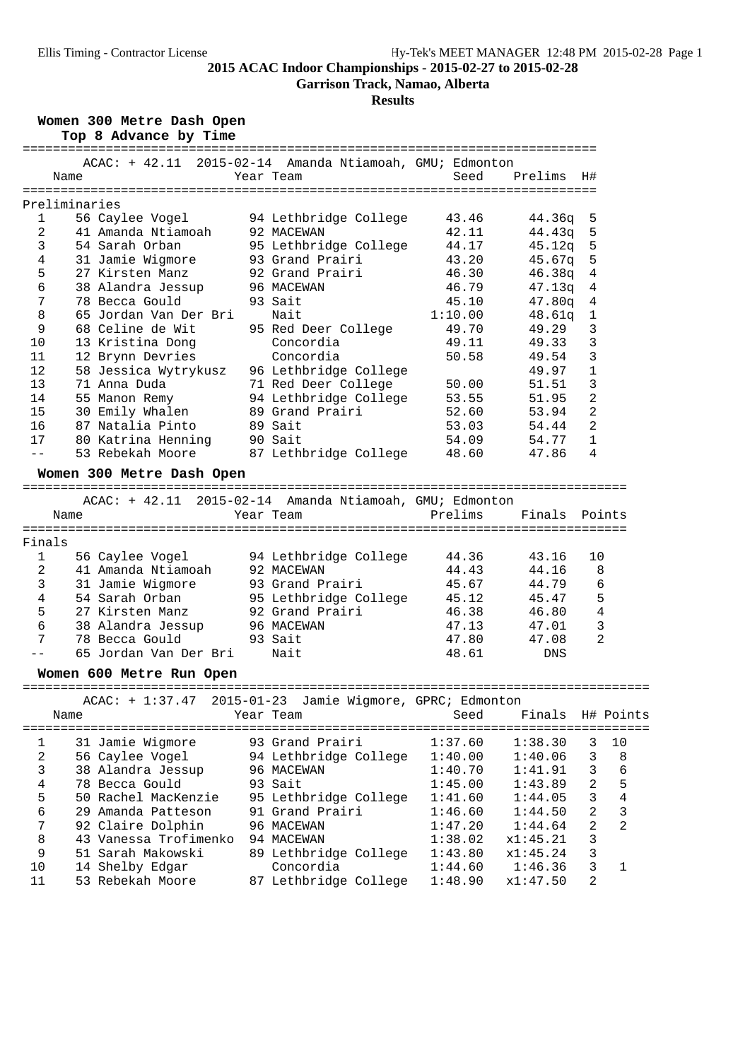**Garrison Track, Namao, Alberta**

#### **Results**

**Women 300 Metre Dash Open**

|  |  | Top 8 Advance by Time |  |  |
|--|--|-----------------------|--|--|
|--|--|-----------------------|--|--|

|                | ACAC: + 42.11 2015-02-14 Amanda Ntiamoah, GMU; Edmonton                                         |                       |         |            |                |                |
|----------------|-------------------------------------------------------------------------------------------------|-----------------------|---------|------------|----------------|----------------|
|                | Name                                                                                            | Year Team             | Seed    | Prelims    | H#             |                |
|                |                                                                                                 |                       |         |            |                |                |
|                | Preliminaries                                                                                   |                       |         |            |                |                |
| $\mathbf{1}$   | 56 Caylee Vogel                                                                                 | 94 Lethbridge College | 43.46   | 44.36q     | 5              |                |
| $\overline{2}$ | 41 Amanda Ntiamoah                                                                              | 92 MACEWAN            | 42.11   | 44.43q     | 5              |                |
| 3              | 54 Sarah Orban                                                                                  | 95 Lethbridge College | 44.17   | 45.12q     | 5              |                |
| 4              | 31 Jamie Wigmore                                                                                | 93 Grand Prairi       | 43.20   | 45.67q     | 5              |                |
| 5              | 27 Kirsten Manz                                                                                 | 92 Grand Prairi       | 46.30   | 46.38q     | 4              |                |
| 6              | 38 Alandra Jessup                                                                               | 96 MACEWAN            | 46.79   | 47.13q     | 4              |                |
| 7              | 78 Becca Gould                                                                                  | 93 Sait               | 45.10   | 47.80q     | 4              |                |
| 8              | 65 Jordan Van Der Bri                                                                           | Nait                  | 1:10.00 | 48.61q     | 1              |                |
| 9              | 68 Celine de Wit                                                                                | 95 Red Deer College   | 49.70   | 49.29      | 3              |                |
| 10             | 13 Kristina Dong                                                                                | Concordia             | 49.11   | 49.33      | 3              |                |
| 11             | 12 Brynn Devries                                                                                | Concordia             | 50.58   | 49.54      | 3              |                |
| 12             | 58 Jessica Wytrykusz                                                                            | 96 Lethbridge College |         | 49.97      | $\mathbf 1$    |                |
| 13             | 71 Anna Duda                                                                                    | 71 Red Deer College   | 50.00   | 51.51      | 3              |                |
| 14             | 55 Manon Remy                                                                                   | 94 Lethbridge College | 53.55   | 51.95      | $\overline{2}$ |                |
| 15             | 30 Emily Whalen                                                                                 | 89 Grand Prairi       | 52.60   | 53.94      | $\overline{2}$ |                |
| 16             | 87 Natalia Pinto                                                                                | 89 Sait               | 53.03   | 54.44      | $\overline{2}$ |                |
| 17             | 80 Katrina Henning                                                                              | 90 Sait               | 54.09   | 54.77      | 1              |                |
| $-$            | 53 Rebekah Moore                                                                                | 87 Lethbridge College | 48.60   | 47.86      | 4              |                |
|                | Women 300 Metre Dash Open                                                                       |                       |         |            |                |                |
|                |                                                                                                 |                       |         |            |                |                |
|                | ACAC: + 42.11 2015-02-14 Amanda Ntiamoah, GMU; Edmonton                                         |                       |         |            |                |                |
|                | Name                                                                                            | Year Team             | Prelims | Finals     |                | Points         |
|                |                                                                                                 |                       |         |            |                |                |
| Finals         |                                                                                                 |                       |         |            |                |                |
| 1              | 56 Caylee Vogel                                                                                 | 94 Lethbridge College | 44.36   | 43.16      | 10             |                |
| 2              | 41 Amanda Ntiamoah                                                                              | 92 MACEWAN            | 44.43   | 44.16      |                | 8              |
| 3              | 31 Jamie Wigmore                                                                                | 93 Grand Prairi       | 45.67   | 44.79      |                | 6              |
| 4              | 54 Sarah Orban                                                                                  | 95 Lethbridge College | 45.12   | 45.47      |                | 5              |
| 5              | 27 Kirsten Manz                                                                                 | 92 Grand Prairi       | 46.38   | 46.80      |                | $\sqrt{4}$     |
| 6              | 38 Alandra Jessup                                                                               | 96 MACEWAN            | 47.13   | 47.01      |                | 3              |
| 7              | 78 Becca Gould                                                                                  | 93 Sait               | 47.80   | 47.08      |                | $\overline{2}$ |
|                | 65 Jordan Van Der Bri                                                                           | Nait                  | 48.61   | <b>DNS</b> |                |                |
|                |                                                                                                 |                       |         |            |                |                |
|                | Women 600 Metre Run Open                                                                        |                       |         |            |                |                |
|                | ACAC: + 1:37.47 2015-01-23 Jamie Wigmore, GPRC; Edmonton                                        |                       |         |            |                |                |
|                | Name                                                                                            | Year Team             | Seed    | Finals     |                | H# Points      |
|                |                                                                                                 |                       |         |            |                |                |
| 1<br>C         | 31 Jamie Wigmore<br>$56$ $Cov[0.000]$ al Inthridge $Cov[0.000]$ $1:10$ $00$ $1:10$ $05$ $2$ $8$ | 93 Grand Prairi       | 1:37.60 | 1:38.30    | 3              | 10             |

| ST Admine Midmore   | ss aranu fraiti       |                       |          | د.            | ⊥ ∪ |
|---------------------|-----------------------|-----------------------|----------|---------------|-----|
| 56 Caylee Vogel     | 94 Lethbridge College | 1:40.00               | 1:40.06  | 3             | 8   |
| 38 Alandra Jessup   | 96 MACEWAN            | 1:40.70               | 1:41.91  | 3             | - 6 |
| 78 Becca Gould      | 93 Sait               | 1:45.00               | 1:43.89  | $\mathcal{L}$ | 5   |
| 50 Rachel MacKenzie | 95 Lethbridge College | 1:41.60               | 1:44.05  | 3             | 4   |
| 29 Amanda Patteson  | 91 Grand Prairi       | 1:46.60               | 1:44.50  | 2             |     |
| 92 Claire Dolphin   | 96 MACEWAN            | 1:47.20               | 1:44.64  | 2             | -2  |
|                     | 94 MACEWAN            | 1:38.02               | x1:45.21 | 3             |     |
| 51 Sarah Makowski   | 89 Lethbridge College | 1:43.80               | x1:45.24 | 3             |     |
| 14 Shelby Edgar     | Concordia             | 1:44.60               | 1:46.36  | 3             |     |
| 53 Rebekah Moore    | 87 Lethbridge College | 1:48.90               | x1:47.50 | 2             |     |
|                     |                       | 43 Vanessa Trofimenko |          |               |     |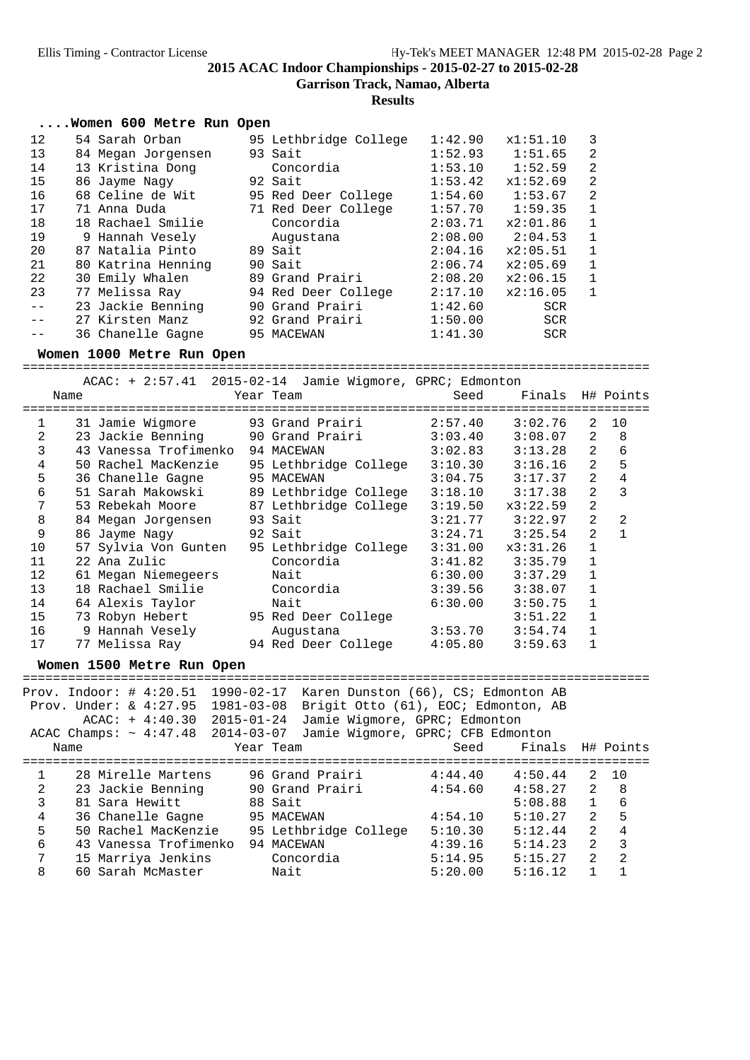**Garrison Track, Namao, Alberta**

**Results**

|    | Women 600 Metre Run Open |                       |         |            |                |
|----|--------------------------|-----------------------|---------|------------|----------------|
| 12 | 54 Sarah Orban           | 95 Lethbridge College | 1:42.90 | x1:51.10   | 3              |
| 13 | 84 Megan Jorgensen       | 93 Sait               | 1:52.93 | 1:51.65    | $\overline{2}$ |
| 14 | 13 Kristina Dong         | Concordia             | 1:53.10 | 1:52.59    | $\overline{2}$ |
| 15 | 86 Jayme Nagy            | 92 Sait               | 1:53.42 | x1:52.69   | $\overline{2}$ |
| 16 | 68 Celine de Wit         | 95 Red Deer College   | 1:54.60 | 1:53.67    | $\overline{2}$ |
| 17 | 71 Anna Duda             | 71 Red Deer College   | 1:57.70 | 1:59.35    | $\mathbf 1$    |
| 18 | 18 Rachael Smilie        | Concordia             | 2:03.71 | x2:01.86   | $\mathbf{1}$   |
| 19 | 9 Hannah Vesely          | Augustana             | 2:08.00 | 2:04.53    | $\mathbf 1$    |
| 20 | 87 Natalia Pinto         | 89 Sait               | 2:04.16 | x2:05.51   | 1              |
| 21 | 80 Katrina Henning       | 90 Sait               | 2:06.74 | x2:05.69   | $\mathbf 1$    |
| 22 | 30 Emily Whalen          | 89 Grand Prairi       | 2:08.20 | x2:06.15   | $\mathbf{1}$   |
| 23 | 77 Melissa Ray           | 94 Red Deer College   | 2:17.10 | x2:16.05   | $\mathbf{1}$   |
|    | 23 Jackie Benning        | 90 Grand Prairi       | 1:42.60 | SCR.       |                |
|    | 27 Kirsten Manz          | 92 Grand Prairi       | 1:50.00 | <b>SCR</b> |                |
|    | 36 Chanelle Gagne        | 95 MACEWAN            | 1:41.30 | <b>SCR</b> |                |
|    |                          |                       |         |            |                |

#### **Women 1000 Metre Run Open**

|      | $ACAC: + 2:57.41$ 2015-02-14 Jamie Wigmore, GPRC; Edmonton |                       |         |                  |                |                |
|------|------------------------------------------------------------|-----------------------|---------|------------------|----------------|----------------|
| Name |                                                            | Year Team             | Seed    | Finals H# Points |                |                |
|      |                                                            |                       |         |                  |                |                |
| 1    | 31 Jamie Wigmore 93 Grand Prairi                           |                       | 2:57.40 | 3:02.76          | 2              | 10             |
| 2    | 23 Jackie Benning 90 Grand Prairi                          |                       | 3:03.40 | 3:08.07          | 2              | 8              |
| 3    | 43 Vanessa Trofimenko 94 MACEWAN                           |                       | 3:02.83 | 3:13.28          | 2              | 6              |
| 4    | 50 Rachel MacKenzie                                        | 95 Lethbridge College | 3:10.30 | 3:16.16          | 2              | 5              |
| 5    | 36 Chanelle Gagne                                          | 95 MACEWAN            | 3:04.75 | 3:17.37          | 2              | 4              |
| 6    | 51 Sarah Makowski                                          | 89 Lethbridge College | 3:18.10 | 3:17.38          | $\overline{2}$ | 3              |
| 7    | 53 Rebekah Moore 87 Lethbridge College                     |                       | 3:19.50 | x3:22.59         | 2              |                |
| 8    | 84 Megan Jorgensen 93 Sait                                 |                       | 3:21.77 | 3:22.97          | $\mathfrak{D}$ | $\mathfrak{D}$ |
| 9    | 86 Jayme Nagy                                              | 92 Sait               | 3:24.71 | 3:25.54          | $\overline{2}$ | 1              |
| 10   | 57 Sylvia Von Gunten                                       | 95 Lethbridge College | 3:31.00 | x3:31.26         | $\mathbf{1}$   |                |
| 11   | 22 Ana Zulic                                               | Concordia             | 3:41.82 | 3:35.79          | 1              |                |
| 12   | 61 Megan Niemegeers                                        | Nait                  | 6:30.00 | 3:37.29          | $\mathbf{1}$   |                |
| 13   | 18 Rachael Smilie                                          | Concordia             | 3:39.56 | 3:38.07          | $\mathbf{1}$   |                |
| 14   | 64 Alexis Taylor                                           | Nait                  | 6:30.00 | 3:50.75          | $\mathbf{1}$   |                |
| 15   | 73 Robyn Hebert 95 Red Deer College                        |                       |         | 3:51.22          | 1              |                |
| 16   | 9 Hannah Vesely                                            | Augustana             | 3:53.70 | 3:54.74          | $\mathbf{1}$   |                |
| 17   | 77 Melissa Ray 194 Red Deer College                        |                       | 4:05.80 | 3:59.63          |                |                |
|      |                                                            |                       |         |                  |                |                |

#### **Women 1500 Metre Run Open**

|   |      | Prov. Indoor: $\#$ 4:20.51<br>Prov. Under: $\& 4:27.95$<br>$ACAC: + 4:40.30 2015-01-24$<br>$ACAC Champs: ~ 4:47.48 2014-03-07$ | 1990-02-17<br>1981-03-08 |                 | Karen Dunston (66), CS; Edmonton AB<br>Brigit Otto (61), EOC; Edmonton, AB<br>Jamie Wigmore, GPRC; Edmonton<br>Jamie Wigmore, GPRC; CFB Edmonton |         |      |                  |                |                |
|---|------|--------------------------------------------------------------------------------------------------------------------------------|--------------------------|-----------------|--------------------------------------------------------------------------------------------------------------------------------------------------|---------|------|------------------|----------------|----------------|
|   | Name |                                                                                                                                |                          | Year Team       |                                                                                                                                                  |         | Seed | Finals H# Points |                |                |
|   |      |                                                                                                                                |                          |                 |                                                                                                                                                  |         |      |                  |                |                |
|   |      | 28 Mirelle Martens                                                                                                             |                          | 96 Grand Prairi |                                                                                                                                                  | 4:44.40 |      | 4:50.44          | $\overline{2}$ | 10             |
| 2 |      | 23 Jackie Benning                                                                                                              |                          | 90 Grand Prairi |                                                                                                                                                  | 4:54.60 |      | 4:58.27          | $2^{1}$        | -8             |
| 3 |      | 81 Sara Hewitt                                                                                                                 |                          | 88 Sait         |                                                                                                                                                  |         |      | 5:08.88          | $\mathbf{1}$   | 6              |
| 4 |      | 36 Chanelle Gagne                                                                                                              |                          | 95 MACEWAN      |                                                                                                                                                  | 4:54.10 |      | 5:10.27          | 2              | 5              |
| 5 |      | 50 Rachel MacKenzie                                                                                                            |                          |                 | 95 Lethbridge College                                                                                                                            | 5:10.30 |      | 5:12.44          | $\overline{2}$ | $\overline{4}$ |
| 6 |      | 43 Vanessa Trofimenko                                                                                                          |                          | 94 MACEWAN      |                                                                                                                                                  | 4:39.16 |      | 5:14.23          | $\mathfrak{D}$ | 3              |
| 7 |      | 15 Marriya Jenkins                                                                                                             |                          | Concordia       |                                                                                                                                                  | 5:14.95 |      | 5:15.27          | $\mathfrak{D}$ | $\mathfrak{D}$ |
| 8 |      | 60 Sarah McMaster                                                                                                              |                          | Nait            |                                                                                                                                                  | 5:20.00 |      | 5:16.12          |                |                |
|   |      |                                                                                                                                |                          |                 |                                                                                                                                                  |         |      |                  |                |                |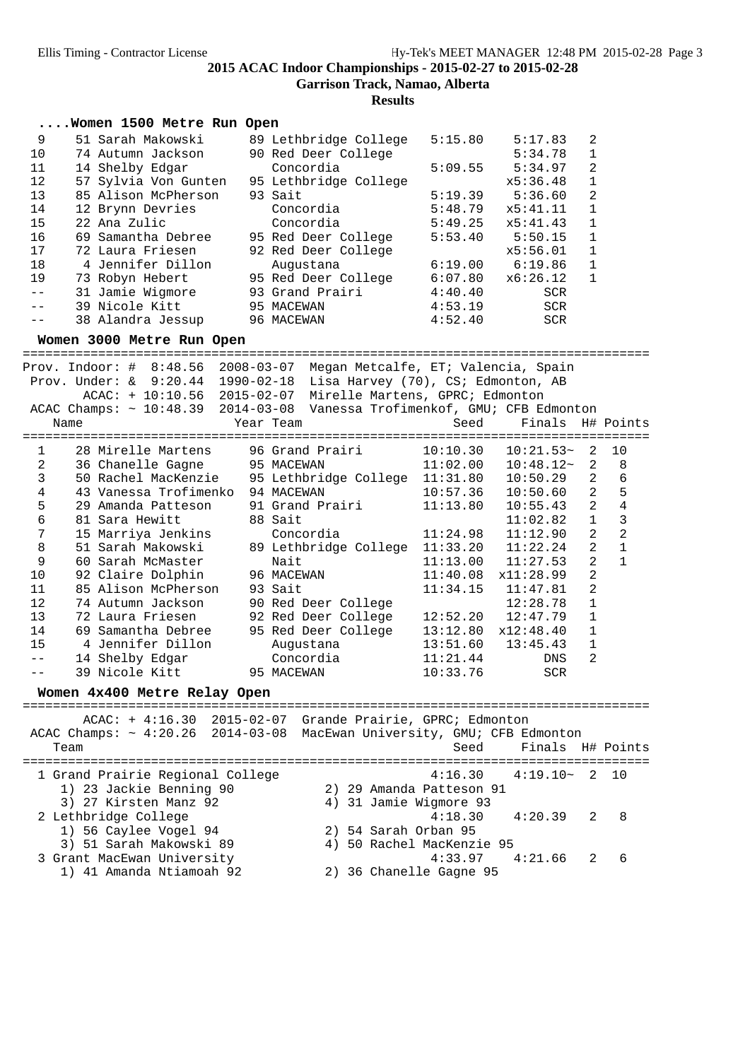**Garrison Track, Namao, Alberta**

**Results**

|    | Women 1500 Metre Run Open |                       |         |            |                |
|----|---------------------------|-----------------------|---------|------------|----------------|
| 9  | 51 Sarah Makowski         | 89 Lethbridge College | 5:15.80 | 5:17.83    | 2              |
| 10 | 74 Autumn Jackson         | 90 Red Deer College   |         | 5:34.78    |                |
| 11 | 14 Shelby Edgar           | Concordia             | 5:09.55 | 5:34.97    | 2              |
| 12 | 57 Sylvia Von Gunten      | 95 Lethbridge College |         | x5:36.48   |                |
| 13 | 85 Alison McPherson       | 93 Sait               | 5:19.39 | 5:36.60    | $\mathfrak{D}$ |
| 14 | 12 Brynn Devries          | Concordia             | 5:48.79 | x5:41.11   |                |
| 15 | 22 Ana Zulic              | Concordia             | 5:49.25 | x5:41.43   |                |
| 16 | 69 Samantha Debree        | 95 Red Deer College   | 5:53.40 | 5:50.15    |                |
| 17 | 72 Laura Friesen          | 92 Red Deer College   |         | x5:56.01   |                |
| 18 | 4 Jennifer Dillon         | Augustana             | 6:19.00 | 6:19.86    |                |
| 19 | 73 Robyn Hebert           | 95 Red Deer College   | 6:07.80 | x6:26.12   |                |
|    | 31 Jamie Wigmore          | 93 Grand Prairi       | 4:40.40 | <b>SCR</b> |                |
|    | 39 Nicole Kitt            | 95 MACEWAN            | 4:53.19 | <b>SCR</b> |                |
|    | 38 Alandra Jessup         | 96 MACEWAN            | 4:52.40 | <b>SCR</b> |                |

#### **Women 3000 Metre Run Open**

=================================================================================== Prov. Indoor: # 8:48.56 2008-03-07 Megan Metcalfe, ET; Valencia, Spain

| Name               |           |                                                                                                                                                                                                                                                                                  |                                                                                                                                                                  |                                                                                                                                                                                                                                                                                                                                                                                                   |                                                                                                                                                                                                                                                                       |
|--------------------|-----------|----------------------------------------------------------------------------------------------------------------------------------------------------------------------------------------------------------------------------------------------------------------------------------|------------------------------------------------------------------------------------------------------------------------------------------------------------------|---------------------------------------------------------------------------------------------------------------------------------------------------------------------------------------------------------------------------------------------------------------------------------------------------------------------------------------------------------------------------------------------------|-----------------------------------------------------------------------------------------------------------------------------------------------------------------------------------------------------------------------------------------------------------------------|
|                    |           |                                                                                                                                                                                                                                                                                  |                                                                                                                                                                  |                                                                                                                                                                                                                                                                                                                                                                                                   | 10                                                                                                                                                                                                                                                                    |
|                    |           |                                                                                                                                                                                                                                                                                  |                                                                                                                                                                  |                                                                                                                                                                                                                                                                                                                                                                                                   | 8                                                                                                                                                                                                                                                                     |
|                    |           |                                                                                                                                                                                                                                                                                  |                                                                                                                                                                  | 2                                                                                                                                                                                                                                                                                                                                                                                                 | 6                                                                                                                                                                                                                                                                     |
|                    |           |                                                                                                                                                                                                                                                                                  |                                                                                                                                                                  | 2                                                                                                                                                                                                                                                                                                                                                                                                 | 5                                                                                                                                                                                                                                                                     |
|                    |           |                                                                                                                                                                                                                                                                                  |                                                                                                                                                                  | 2                                                                                                                                                                                                                                                                                                                                                                                                 | $\overline{4}$                                                                                                                                                                                                                                                        |
| 81 Sara Hewitt     |           |                                                                                                                                                                                                                                                                                  | 11:02.82                                                                                                                                                         | $\mathbf{1}$                                                                                                                                                                                                                                                                                                                                                                                      | 3                                                                                                                                                                                                                                                                     |
|                    | Concordia |                                                                                                                                                                                                                                                                                  | 11:12.90                                                                                                                                                         | 2                                                                                                                                                                                                                                                                                                                                                                                                 | $\overline{2}$                                                                                                                                                                                                                                                        |
|                    |           |                                                                                                                                                                                                                                                                                  |                                                                                                                                                                  | $\overline{2}$                                                                                                                                                                                                                                                                                                                                                                                    | $\mathbf{1}$                                                                                                                                                                                                                                                          |
| 60 Sarah McMaster  | Nait      |                                                                                                                                                                                                                                                                                  |                                                                                                                                                                  | $\overline{2}$                                                                                                                                                                                                                                                                                                                                                                                    | $\mathbf{1}$                                                                                                                                                                                                                                                          |
|                    |           |                                                                                                                                                                                                                                                                                  |                                                                                                                                                                  | $\overline{2}$                                                                                                                                                                                                                                                                                                                                                                                    |                                                                                                                                                                                                                                                                       |
|                    |           |                                                                                                                                                                                                                                                                                  |                                                                                                                                                                  | $\overline{2}$                                                                                                                                                                                                                                                                                                                                                                                    |                                                                                                                                                                                                                                                                       |
|                    |           |                                                                                                                                                                                                                                                                                  | 12:28.78                                                                                                                                                         |                                                                                                                                                                                                                                                                                                                                                                                                   |                                                                                                                                                                                                                                                                       |
|                    |           |                                                                                                                                                                                                                                                                                  |                                                                                                                                                                  |                                                                                                                                                                                                                                                                                                                                                                                                   |                                                                                                                                                                                                                                                                       |
| 69 Samantha Debree |           |                                                                                                                                                                                                                                                                                  |                                                                                                                                                                  |                                                                                                                                                                                                                                                                                                                                                                                                   |                                                                                                                                                                                                                                                                       |
| 4 Jennifer Dillon  |           |                                                                                                                                                                                                                                                                                  |                                                                                                                                                                  | $\mathbf{1}$                                                                                                                                                                                                                                                                                                                                                                                      |                                                                                                                                                                                                                                                                       |
|                    |           |                                                                                                                                                                                                                                                                                  | DNS                                                                                                                                                              | 2                                                                                                                                                                                                                                                                                                                                                                                                 |                                                                                                                                                                                                                                                                       |
|                    |           | 10:33.76                                                                                                                                                                                                                                                                         | <b>SCR</b>                                                                                                                                                       |                                                                                                                                                                                                                                                                                                                                                                                                   |                                                                                                                                                                                                                                                                       |
|                    |           | Prov. Under: & 9:20.44 1990-02-18<br>$ACAC: + 10:10.56 2015-02-07$<br>Year Team<br>36 Chanelle Gagne 95 MACEWAN<br>43 Vanessa Trofimenko 94 MACEWAN<br>88 Sait<br>15 Marriya Jenkins<br>92 Claire Dolphin 96 MACEWAN<br>85 Alison McPherson 93 Sait<br>14 Shelby Edgar Concordia | 28 Mirelle Martens      96 Grand Prairi<br>29 Amanda Patteson 91 Grand Prairi<br>74 Autumn Jackson 90 Red Deer College<br>Augustana<br>39 Nicole Kitt 95 MACEWAN | $10 - 10$<br>Lisa Harvey (70), CS; Edmonton, AB<br>Mirelle Martens, GPRC; Edmonton<br>Seed<br>50 Rachel MacKenzie 95 Lethbridge College 11:31.80<br>11:13.80<br>11:24.98<br>$11:13.00$ $11:27.53$<br>$11:40.08$ $x11:28.99$<br>$11:34.15$ $11:47.81$<br>72 Laura Friesen 32 Red Deer College 12:52.20 12:47.79<br>95 Red Deer College   13:12.80   x12:48.40<br>$13:51.60$ $13:45.43$<br>11:21.44 | ACAC Champs: ~ 10:48.39 2014-03-08 Vanessa Trofimenkof, GMU; CFB Edmonton<br>Finals H# Points<br>$10:10.30$ $10:21.53$ $2$<br>$11:02.00$ $10:48.12$ $2$<br>10:50.29<br>$10:57.36$ $10:50.60$<br>10:55.43<br>51 Sarah Makowski 89 Lethbridge College 11:33.20 11:22.24 |

#### **Women 4x400 Metre Relay Open**

=================================================================================== ACAC: + 4:16.30 2015-02-07 Grande Prairie, GPRC; Edmonton

|                                  | ACAC Champs: ~ 4:20.26 2014-03-08 MacEwan University, GMU; CFB Edmonton |
|----------------------------------|-------------------------------------------------------------------------|
| Team                             | Seed Finals H# Points                                                   |
| 1 Grand Prairie Regional College | $4:16.30 \qquad 4:19.10 \sim 2 \quad 10$                                |
| 1) 23 Jackie Benning 90          | 2) 29 Amanda Patteson 91                                                |
| 3) 27 Kirsten Manz 92            | 4) 31 Jamie Wigmore 93                                                  |
| 2 Lethbridge College             | $4:18.30$ $4:20.39$ 2 8                                                 |
| 1) 56 Caylee Vogel 94            | 2) 54 Sarah Orban 95                                                    |
| 3) 51 Sarah Makowski 89          | 4) 50 Rachel MacKenzie 95                                               |
| 3 Grant MacEwan University       | $4:33.97$ $4:21.66$ 2<br>6                                              |
| 1) 41 Amanda Ntiamoah 92         | 2) 36 Chanelle Gagne 95                                                 |
|                                  |                                                                         |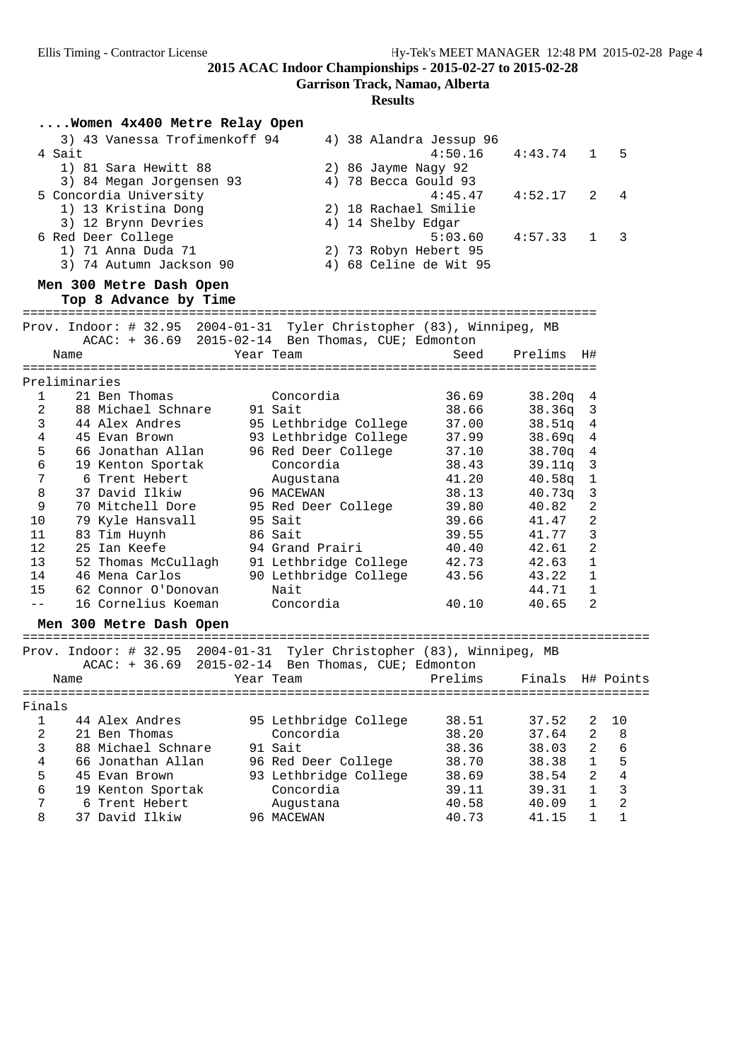**Garrison Track, Namao, Alberta**

**Results**

|               |        | Women 4x400 Metre Relay Open                                          |                                                                                                                 |         |                  |                |                |
|---------------|--------|-----------------------------------------------------------------------|-----------------------------------------------------------------------------------------------------------------|---------|------------------|----------------|----------------|
|               |        | 3) 43 Vanessa Trofimenkoff 94                                         | 4) 38 Alandra Jessup 96                                                                                         |         |                  |                |                |
|               | 4 Sait |                                                                       |                                                                                                                 | 4:50.16 | 4:43.74          | 1              | 5              |
|               |        | 1) 81 Sara Hewitt 88                                                  | 2) 86 Jayme Nagy 92                                                                                             |         |                  |                |                |
|               |        | 3) 84 Megan Jorgensen 93                                              | 4) 78 Becca Gould 93                                                                                            |         |                  |                |                |
|               |        | 5 Concordia University                                                |                                                                                                                 | 4:45.47 | 4:52.17          | 2              | 4              |
|               |        | 1) 13 Kristina Dong                                                   | 2) 18 Rachael Smilie                                                                                            |         |                  |                |                |
|               |        | 3) 12 Brynn Devries                                                   | 4) 14 Shelby Edgar                                                                                              |         |                  |                |                |
|               |        | 6 Red Deer College                                                    |                                                                                                                 | 5:03.60 | 4:57.33          | 1              | 3              |
|               |        | 1) 71 Anna Duda 71                                                    | 2) 73 Robyn Hebert 95                                                                                           |         |                  |                |                |
|               |        | 3) 74 Autumn Jackson 90                                               | 4) 68 Celine de Wit 95                                                                                          |         |                  |                |                |
|               |        | Men 300 Metre Dash Open                                               |                                                                                                                 |         |                  |                |                |
|               |        | Top 8 Advance by Time                                                 |                                                                                                                 |         |                  |                |                |
|               |        |                                                                       |                                                                                                                 |         |                  |                |                |
|               |        | Prov. Indoor: # 32.95 2004-01-31 Tyler Christopher (83), Winnipeg, MB |                                                                                                                 |         |                  |                |                |
|               |        | ACAC: + 36.69 2015-02-14 Ben Thomas, CUE; Edmonton                    |                                                                                                                 |         |                  |                |                |
|               | Name   |                                                                       | Year Team                                                                                                       | Seed    | Prelims          | Η#             |                |
| Preliminaries |        |                                                                       |                                                                                                                 |         |                  |                |                |
| $\mathbf{1}$  |        | 21 Ben Thomas                                                         | Concordia                                                                                                       | 36.69   | 38.20q           | 4              |                |
| 2             |        | 88 Michael Schnare                                                    | 91 Sait                                                                                                         | 38.66   | 38.36q           | 3              |                |
| 3             |        | 44 Alex Andres                                                        | 95 Lethbridge College                                                                                           | 37.00   | 38.51q           | 4              |                |
| 4             |        | 45 Evan Brown                                                         | 93 Lethbridge College                                                                                           | 37.99   | 38.69q           | 4              |                |
| 5             |        | 66 Jonathan Allan                                                     | 96 Red Deer College                                                                                             | 37.10   | 38.70q           | 4              |                |
| 6             |        | 19 Kenton Sportak                                                     | Concordia                                                                                                       | 38.43   | 39.11q           | 3              |                |
| 7             |        | 6 Trent Hebert                                                        | Augustana                                                                                                       | 41.20   | 40.58q           | 1              |                |
| 8             |        | 37 David Ilkiw                                                        | 96 MACEWAN                                                                                                      | 38.13   | 40.73q           | 3              |                |
| 9             |        | 70 Mitchell Dore                                                      | 95 Red Deer College                                                                                             | 39.80   | 40.82            | $\overline{2}$ |                |
| 10            |        | 79 Kyle Hansvall                                                      | 95 Sait                                                                                                         | 39.66   | 41.47            | 2              |                |
| 11            |        | 83 Tim Huynh                                                          | 86 Sait                                                                                                         | 39.55   | 41.77            | 3              |                |
| 12            |        | 25 Ian Keefe                                                          | 94 Grand Prairi                                                                                                 | 40.40   | 42.61            | 2              |                |
| 13            |        | 52 Thomas McCullagh                                                   | 91 Lethbridge College                                                                                           | 42.73   | 42.63            | 1              |                |
| 14            |        | 46 Mena Carlos                                                        | 90 Lethbridge College                                                                                           | 43.56   | 43.22            | $\mathbf 1$    |                |
| 15            |        | 62 Connor O'Donovan                                                   | Nait                                                                                                            |         | 44.71            | $\mathbf{1}$   |                |
| $- -$         |        | 16 Cornelius Koeman                                                   | Concordia                                                                                                       | 40.10   | 40.65            | 2              |                |
|               |        | Men 300 Metre Dash Open                                               |                                                                                                                 |         |                  |                |                |
|               |        |                                                                       |                                                                                                                 |         |                  |                |                |
|               |        | Prov. Indoor: # 32.95 2004-01-31 Tyler Christopher (83), Winnipeg, MB |                                                                                                                 |         |                  |                |                |
|               |        | ACAC: + 36.69 2015-02-14 Ben Thomas, CUE; Edmonton                    |                                                                                                                 |         |                  |                |                |
|               | Name   |                                                                       | Year Team and the Mean of the Maria State of the Maria State of the Maria State of the Maria State of the Maria | Prelims | Finals H# Points |                |                |
|               |        |                                                                       |                                                                                                                 |         |                  |                |                |
| Finals        |        |                                                                       |                                                                                                                 |         |                  |                |                |
| $\mathbf{1}$  |        | 44 Alex Andres                                                        | 95 Lethbridge College                                                                                           | 38.51   | 37.52            | 2              | 10             |
| 2             |        | 21 Ben Thomas                                                         | Concordia                                                                                                       | 38.20   | 37.64            | 2              | 8              |
| 3             |        | 88 Michael Schnare                                                    | 91 Sait                                                                                                         | 38.36   | 38.03            | $\overline{2}$ | 6              |
| 4             |        | 66 Jonathan Allan                                                     | 96 Red Deer College                                                                                             | 38.70   | 38.38            | $\mathbf{1}$   | 5              |
| 5             |        | 45 Evan Brown                                                         | 93 Lethbridge College                                                                                           | 38.69   | 38.54            | 2              | $\,4$          |
| 6             |        | 19 Kenton Sportak                                                     | Concordia                                                                                                       | 39.11   | 39.31            | $\mathbf{1}$   | 3              |
| 7             |        | 6 Trent Hebert                                                        | Augustana                                                                                                       | 40.58   | 40.09            | $\mathbf{1}$   | $\overline{c}$ |
| 8             |        | 37 David Ilkiw                                                        | 96 MACEWAN                                                                                                      | 40.73   | 41.15            | $\mathbf{1}$   | 1              |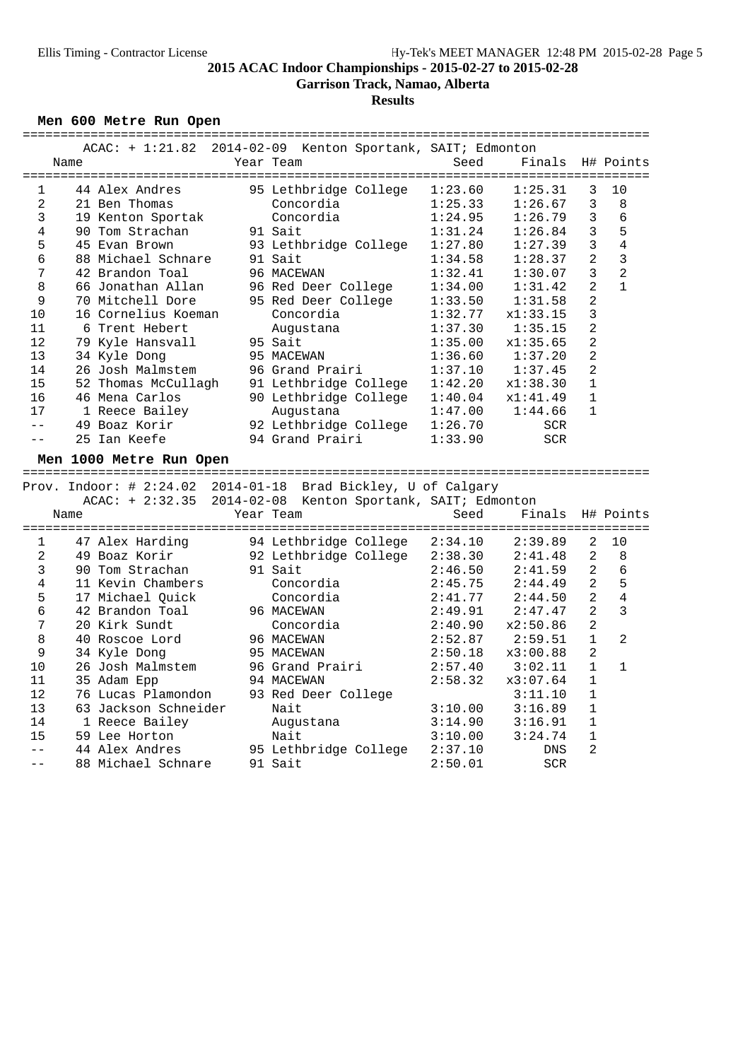**Garrison Track, Namao, Alberta**

**Results**

### **Men 600 Metre Run Open**

|                |      | $ACAC: + 1:21.82$       | 2014-02-09 Kenton Sportank, SAIT; Edmonton                    |         |                                           |                |                |
|----------------|------|-------------------------|---------------------------------------------------------------|---------|-------------------------------------------|----------------|----------------|
|                | Name |                         | Year Team                                                     | Seed    | Finals                                    |                | H# Points      |
|                |      |                         |                                                               |         |                                           |                |                |
| 1              |      | 44 Alex Andres          | 95 Lethbridge College                                         | 1:23.60 | 1:25.31                                   | 3              | 10             |
| 2              |      | 21 Ben Thomas           | Concordia                                                     | 1:25.33 | 1:26.67                                   | 3              | 8              |
| 3              |      | 19 Kenton Sportak       | Concordia                                                     | 1:24.95 | 1:26.79                                   | 3              | 6              |
| 4              |      | 90 Tom Strachan         | 91 Sait                                                       | 1:31.24 | 1:26.84                                   | 3              | 5              |
| 5              |      | 45 Evan Brown           | 93 Lethbridge College                                         | 1:27.80 | 1:27.39                                   | 3              | 4              |
| 6              |      | 88 Michael Schnare      | 91 Sait                                                       | 1:34.58 | 1:28.37                                   | 2              | 3              |
| 7              |      | 42 Brandon Toal         | 96 MACEWAN                                                    | 1:32.41 | 1:30.07                                   | 3              | 2              |
| 8              |      | 66 Jonathan Allan       | 96 Red Deer College                                           | 1:34.00 | 1:31.42                                   | 2              | $\mathbf{1}$   |
| 9              |      | 70 Mitchell Dore        | 95 Red Deer College                                           | 1:33.50 | 1:31.58                                   | $\overline{a}$ |                |
| 10             |      | 16 Cornelius Koeman     | Concordia                                                     | 1:32.77 | x1:33.15                                  | 3              |                |
| 11             |      | 6 Trent Hebert          | Augustana                                                     | 1:37.30 | 1:35.15                                   | 2              |                |
| 12             |      | 79 Kyle Hansvall        | 95 Sait                                                       | 1:35.00 | x1:35.65                                  | $\overline{2}$ |                |
| 13             |      | 34 Kyle Dong            | 95 MACEWAN                                                    | 1:36.60 | 1:37.20                                   | 2              |                |
| 14             |      | 26 Josh Malmstem        | 96 Grand Prairi                                               | 1:37.10 | 1:37.45                                   | $\overline{2}$ |                |
|                |      |                         |                                                               |         |                                           |                |                |
| 15             |      | 52 Thomas McCullagh     | 91 Lethbridge College                                         | 1:42.20 | x1:38.30                                  | 1              |                |
| 16             |      | 46 Mena Carlos          | 90 Lethbridge College                                         | 1:40.04 | x1:41.49                                  | 1              |                |
| 17             |      | 1 Reece Bailey          | Augustana                                                     | 1:47.00 | 1:44.66                                   | 1              |                |
| $- -$          |      | 49 Boaz Korir           | 92 Lethbridge College                                         | 1:26.70 | <b>SCR</b>                                |                |                |
| $- -$          |      | 25 Ian Keefe            | 94 Grand Prairi                                               | 1:33.90 | <b>SCR</b>                                |                |                |
|                |      |                         |                                                               |         |                                           |                |                |
|                |      |                         |                                                               |         |                                           |                |                |
|                |      | Men 1000 Metre Run Open |                                                               |         |                                           |                |                |
|                |      |                         |                                                               |         |                                           |                |                |
|                |      |                         | Prov. Indoor: # 2:24.02 2014-01-18 Brad Bickley, U of Calgary |         |                                           |                |                |
|                |      | $ACAC: + 2:32.35$       | 2014-02-08 Kenton Sportank, SAIT; Edmonton                    |         |                                           |                |                |
|                | Name |                         | Year Team                                                     | Seed    | Finals<br>=============================== |                | H# Points      |
|                |      |                         |                                                               |         |                                           |                |                |
| 1              |      | 47 Alex Harding         | 94 Lethbridge College                                         | 2:34.10 | 2:39.89                                   | 2              | 10             |
| $\overline{a}$ |      | 49 Boaz Korir           | 92 Lethbridge College                                         | 2:38.30 | 2:41.48                                   | $\overline{a}$ | 8              |
| 3              |      | 90 Tom Strachan         | 91 Sait                                                       | 2:46.50 | 2:41.59                                   | 2              | 6              |
| 4              |      | 11 Kevin Chambers       | Concordia                                                     | 2:45.75 | 2:44.49                                   | 2              | 5              |
| 5              |      | 17 Michael Quick        | Concordia                                                     | 2:41.77 | 2:44.50                                   | $\overline{a}$ | $\overline{4}$ |
| 6              |      | 42 Brandon Toal         | 96 MACEWAN                                                    | 2:49.91 | 2:47.47                                   | 2              | 3              |
| 7              |      | 20 Kirk Sundt           | Concordia                                                     | 2:40.90 | x2:50.86                                  | 2              |                |
| 8              |      | 40 Roscoe Lord          | 96 MACEWAN                                                    | 2:52.87 | 2:59.51                                   | $\mathbf 1$    | 2              |
| 9              |      | 34 Kyle Dong            | 95 MACEWAN                                                    | 2:50.18 | x3:00.88                                  | 2              |                |
| 10             |      | 26 Josh Malmstem        | 96 Grand Prairi                                               | 2:57.40 | 3:02.11                                   | 1              | $\mathbf{1}$   |
| 11             |      | 35 Adam Epp             | 94 MACEWAN                                                    | 2:58.32 | x3:07.64                                  | $\mathbf{1}$   |                |
| 12             |      | 76 Lucas Plamondon      | 93 Red Deer College                                           |         | 3:11.10                                   | $\mathbf{1}$   |                |
| 13             |      | 63 Jackson Schneider    | Nait                                                          | 3:10.00 | 3:16.89                                   | $\mathbf{1}$   |                |
| 14             |      | 1 Reece Bailey          | Augustana                                                     | 3:14.90 | 3:16.91                                   | 1              |                |
| 15             |      | 59 Lee Horton           | Nait                                                          | 3:10.00 | 3:24.74                                   | $\mathbf 1$    |                |
| $-$            |      | 44 Alex Andres          | 95 Lethbridge College                                         | 2:37.10 | <b>DNS</b>                                | 2              |                |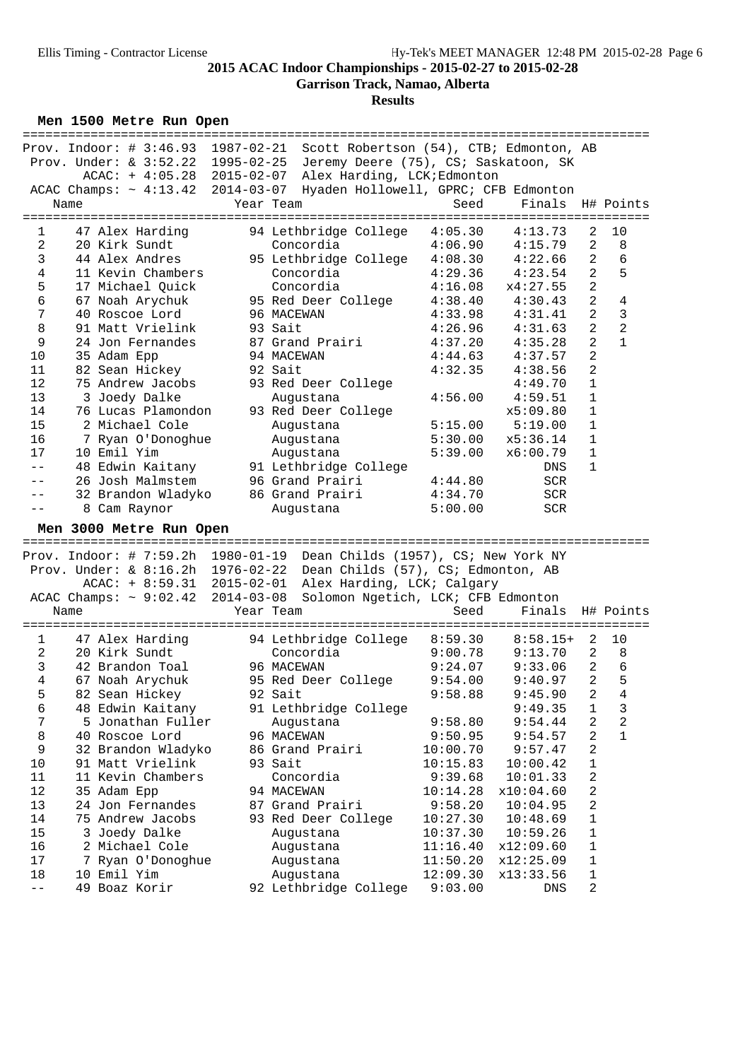**Garrison Track, Namao, Alberta**

**Results**

**Men 1500 Metre Run Open**

|                |      |                         | Prov. Indoor: # 3:46.93 1987-02-21 Scott Robertson (54), CTB; Edmonton, AB |          |                  |                |                |
|----------------|------|-------------------------|----------------------------------------------------------------------------|----------|------------------|----------------|----------------|
|                |      |                         | Prov. Under: & 3:52.22 1995-02-25 Jeremy Deere (75), CS; Saskatoon, SK     |          |                  |                |                |
|                |      |                         | ACAC: + 4:05.28 2015-02-07 Alex Harding, LCK; Edmonton                     |          |                  |                |                |
|                |      |                         | ACAC Champs: ~ 4:13.42 2014-03-07 Hyaden Hollowell, GPRC; CFB Edmonton     |          |                  |                |                |
|                | Name |                         | Year Team                                                                  | Seed     | Finals H# Points |                |                |
|                |      |                         |                                                                            |          |                  |                |                |
| 1              |      | 47 Alex Harding         | 94 Lethbridge College                                                      | 4:05.30  | 4:13.73          | 2              | 10             |
| 2              |      | 20 Kirk Sundt           | Concordia                                                                  | 4:06.90  | 4:15.79          | 2              | 8              |
| 3              |      | 44 Alex Andres          | 95 Lethbridge College                                                      | 4:08.30  | 4:22.66          | 2              | 6              |
| $\overline{4}$ |      | 11 Kevin Chambers       | Concordia                                                                  | 4:29.36  | 4:23.54          | 2              | 5              |
| 5              |      | 17 Michael Quick        | Concordia                                                                  | 4:16.08  | x4:27.55         | $\overline{2}$ |                |
| 6              |      | 67 Noah Arychuk         | 95 Red Deer College                                                        | 4:38.40  | 4:30.43          | 2              | 4              |
| 7              |      | 40 Roscoe Lord          | 96 MACEWAN                                                                 | 4:33.98  | 4:31.41          | 2              | $\mathbf{3}$   |
| 8              |      | 91 Matt Vrielink        | 93 Sait                                                                    | 4:26.96  | 4:31.63          | $\overline{a}$ | $\overline{2}$ |
|                |      |                         |                                                                            |          |                  | 2              | $\mathbf{1}$   |
| 9              |      | 24 Jon Fernandes        | 87 Grand Prairi                                                            | 4:37.20  | 4:35.28          |                |                |
| 10             |      | 35 Adam Epp             | 94 MACEWAN                                                                 | 4:44.63  | 4:37.57          | $\mathbf{2}$   |                |
| 11             |      | 82 Sean Hickey          | 92 Sait                                                                    | 4:32.35  | 4:38.56          | $\mathbf{2}$   |                |
| 12             |      | 75 Andrew Jacobs        | 93 Red Deer College                                                        |          | 4:49.70          | $\mathbf{1}$   |                |
| 13             |      | 3 Joedy Dalke           | Augustana                                                                  | 4:56.00  | 4:59.51          | 1              |                |
| 14             |      | 76 Lucas Plamondon      | 93 Red Deer College                                                        |          | x5:09.80         | 1              |                |
| 15             |      | 2 Michael Cole          | Augustana                                                                  | 5:15.00  | 5:19.00          | 1              |                |
| 16             |      | 7 Ryan O'Donoghue       | Augustana                                                                  | 5:30.00  | x5:36.14         | 1              |                |
| 17             |      | 10 Emil Yim             | Augustana                                                                  | 5:39.00  | x6:00.79         | $\mathbf{1}$   |                |
| $- -$          |      | 48 Edwin Kaitany        | 91 Lethbridge College                                                      |          | DNS              | $\mathbf{1}$   |                |
| $ -$           |      | 26 Josh Malmstem        | 96 Grand Prairi                                                            | 4:44.80  | SCR              |                |                |
| $- -$          |      | 32 Brandon Wladyko      | 86 Grand Prairi                                                            | 4:34.70  | <b>SCR</b>       |                |                |
|                |      | 8 Cam Raynor            | Augustana                                                                  | 5:00.00  | <b>SCR</b>       |                |                |
|                |      |                         |                                                                            |          |                  |                |                |
|                |      |                         |                                                                            |          |                  |                |                |
|                |      | Men 3000 Metre Run Open |                                                                            |          |                  |                |                |
|                |      |                         |                                                                            |          |                  |                |                |
|                |      |                         | Prov. Indoor: # $7:59.2h$ 1980-01-19 Dean Childs (1957), CS; New York NY   |          |                  |                |                |
|                |      |                         | Prov. Under: $\&$ 8:16.2h 1976-02-22 Dean Childs (57), CS; Edmonton, AB    |          |                  |                |                |
|                |      | $ACAC: + 8:59.31$       | 2015-02-01 Alex Harding, LCK; Calgary                                      |          |                  |                |                |
|                |      |                         | ACAC Champs: ~ 9:02.42 2014-03-08 Solomon Ngetich, LCK; CFB Edmonton       |          |                  |                |                |
|                | Name |                         | Year Team                                                                  | Seed     | Finals           |                | H# Points      |
|                |      |                         |                                                                            |          |                  |                |                |
| 1              |      | 47 Alex Harding         | 94 Lethbridge College 8:59.30                                              |          | $8:58.15+$       | 2              | 10             |
| 2              |      | 20 Kirk Sundt           | Concordia                                                                  | 9:00.78  | 9:13.70          | 2              | 8              |
| 3              |      | 42 Brandon Toal         | 96 MACEWAN                                                                 | 9:24.07  | 9:33.06          | 2              | 6              |
| 4              |      | 67 Noah Arychuk         | 95 Red Deer College                                                        | 9:54.00  | 9:40.97          | 2              | 5              |
| 5              |      | 82 Sean Hickey          | 92 Sait                                                                    | 9:58.88  | $9:45.90$ 2 4    |                |                |
| 6              |      | 48 Edwin Kaitany        | 91 Lethbridge College                                                      |          | 9:49.35          | 1              | 3              |
| 7              |      | 5 Jonathan Fuller       | Augustana                                                                  | 9:58.80  | 9:54.44          | 2              | 2              |
| 8              |      | 40 Roscoe Lord          | 96 MACEWAN                                                                 | 9:50.95  | 9:54.57          | 2              | $\mathbf{1}$   |
| 9              |      | 32 Brandon Wladyko      | 86 Grand Prairi                                                            | 10:00.70 | 9:57.47          | 2              |                |
| 10             |      | 91 Matt Vrielink        | 93 Sait                                                                    | 10:15.83 | 10:00.42         | 1              |                |
| 11             |      | 11 Kevin Chambers       | Concordia                                                                  | 9:39.68  | 10:01.33         | 2              |                |
| 12             |      | 35 Adam Epp             | 94 MACEWAN                                                                 | 10:14.28 | x10:04.60        | 2              |                |
| 13             |      | 24 Jon Fernandes        | 87 Grand Prairi                                                            | 9:58.20  | 10:04.95         | 2              |                |
| 14             |      | 75 Andrew Jacobs        | 93 Red Deer College                                                        | 10:27.30 | 10:48.69         | 1              |                |
| 15             |      | 3 Joedy Dalke           | Augustana                                                                  | 10:37.30 | 10:59.26         | 1              |                |
| 16             |      | 2 Michael Cole          | Augustana                                                                  | 11:16.40 | x12:09.60        | 1              |                |
| $17$           |      | 7 Ryan O'Donoghue       | Augustana                                                                  | 11:50.20 | x12:25.09        | 1              |                |
| 18             |      | 10 Emil Yim             | Augustana<br>92 Lethbridge College                                         | 12:09.30 | x13:33.56        | 1              |                |